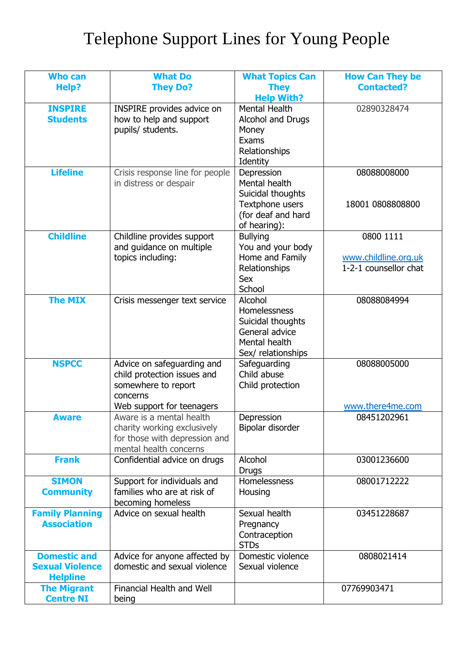## Telephone Support Lines for Young People

| <b>Who can</b>         | <b>What Do</b>                                             | <b>What Topics Can</b>               | <b>How Can They be</b> |
|------------------------|------------------------------------------------------------|--------------------------------------|------------------------|
| Help?                  | <b>They Do?</b>                                            | <b>They</b>                          | <b>Contacted?</b>      |
|                        |                                                            | <b>Help With?</b>                    |                        |
| <b>INSPIRE</b>         | INSPIRE provides advice on                                 | Mental Health                        | 02890328474            |
| <b>Students</b>        | how to help and support                                    | Alcohol and Drugs                    |                        |
|                        | pupils/ students.                                          | Money                                |                        |
|                        |                                                            | Exams                                |                        |
|                        |                                                            | Relationships                        |                        |
|                        |                                                            | Identity                             |                        |
| <b>Lifeline</b>        | Crisis response line for people                            | Depression                           | 08088008000            |
|                        | in distress or despair                                     | Mental health                        |                        |
|                        |                                                            | Suicidal thoughts<br>Textphone users | 18001 0808808800       |
|                        |                                                            | (for deaf and hard                   |                        |
|                        |                                                            | of hearing):                         |                        |
| <b>Childline</b>       | Childline provides support                                 | <b>Bullying</b>                      | 0800 1111              |
|                        | and guidance on multiple                                   | You and your body                    |                        |
|                        | topics including:                                          | Home and Family                      | www.childline.org.uk   |
|                        |                                                            | Relationships                        | 1-2-1 counsellor chat  |
|                        |                                                            | <b>Sex</b>                           |                        |
|                        |                                                            | School                               |                        |
| <b>The MIX</b>         | Crisis messenger text service                              | Alcohol                              | 08088084994            |
|                        |                                                            | Homelessness                         |                        |
|                        |                                                            | Suicidal thoughts                    |                        |
|                        |                                                            | General advice                       |                        |
|                        |                                                            | Mental health<br>Sex/ relationships  |                        |
| <b>NSPCC</b>           | Advice on safeguarding and                                 | Safeguarding                         | 08088005000            |
|                        | child protection issues and                                | Child abuse                          |                        |
|                        | somewhere to report                                        | Child protection                     |                        |
|                        | concerns                                                   |                                      |                        |
|                        | Web support for teenagers                                  |                                      | www.there4me.com       |
| <b>Aware</b>           | Aware is a mental health                                   | Depression                           | 08451202961            |
|                        | charity working exclusively                                | Bipolar disorder                     |                        |
|                        | for those with depression and                              |                                      |                        |
|                        | mental health concerns                                     |                                      |                        |
| <b>Frank</b>           | Confidential advice on drugs                               | Alcohol                              | 03001236600            |
| <b>SIMON</b>           |                                                            | <b>Drugs</b><br>Homelessness         | 08001712222            |
| <b>Community</b>       | Support for individuals and<br>families who are at risk of | Housing                              |                        |
|                        | becoming homeless                                          |                                      |                        |
| <b>Family Planning</b> | Advice on sexual health                                    | Sexual health                        | 03451228687            |
| <b>Association</b>     |                                                            | Pregnancy                            |                        |
|                        |                                                            | Contraception                        |                        |
|                        |                                                            | <b>STDs</b>                          |                        |
| <b>Domestic and</b>    | Advice for anyone affected by                              | Domestic violence                    | 0808021414             |
| <b>Sexual Violence</b> | domestic and sexual violence                               | Sexual violence                      |                        |
| <b>Helpline</b>        |                                                            |                                      |                        |
| <b>The Migrant</b>     | <b>Financial Health and Well</b>                           |                                      | 07769903471            |
| <b>Centre NI</b>       | being                                                      |                                      |                        |